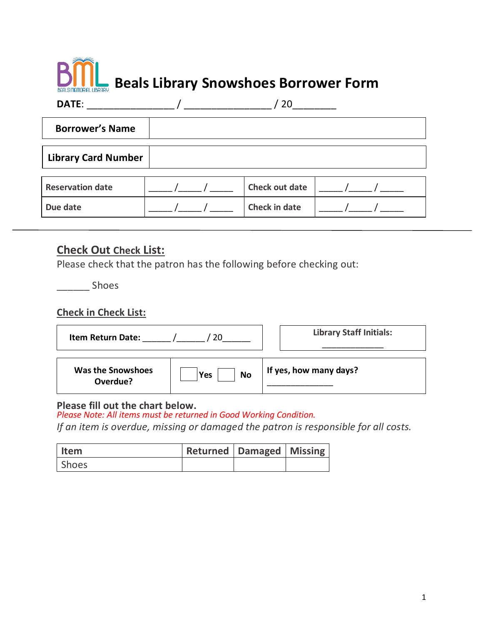# **Beals Library Snowshoes Borrower Form**

| DATE:                      |  | 20                    |  |  |
|----------------------------|--|-----------------------|--|--|
| <b>Borrower's Name</b>     |  |                       |  |  |
| <b>Library Card Number</b> |  |                       |  |  |
| <b>Reservation date</b>    |  | <b>Check out date</b> |  |  |
| Due date                   |  | <b>Check in date</b>  |  |  |

### **Check Out Check List:**

Please check that the patron has the following before checking out:

\_\_\_\_\_\_ Shoes

#### **Check in Check List:**

| <b>Item Return Date:</b><br>20 |                         | <b>Library Staff Initials:</b> |  |
|--------------------------------|-------------------------|--------------------------------|--|
| Was the Snowshoes<br>Overdue?  | <b>No</b><br><b>Yes</b> | If yes, how many days?         |  |

#### **Please fill out the chart below.**

*Please Note: All items must be returned in Good Working Condition.* 

*If an item is overdue, missing or damaged the patron is responsible for all costs.* 

| <b>Item</b>  | Returned   Damaged   Missing |  |
|--------------|------------------------------|--|
| <b>Shoes</b> |                              |  |